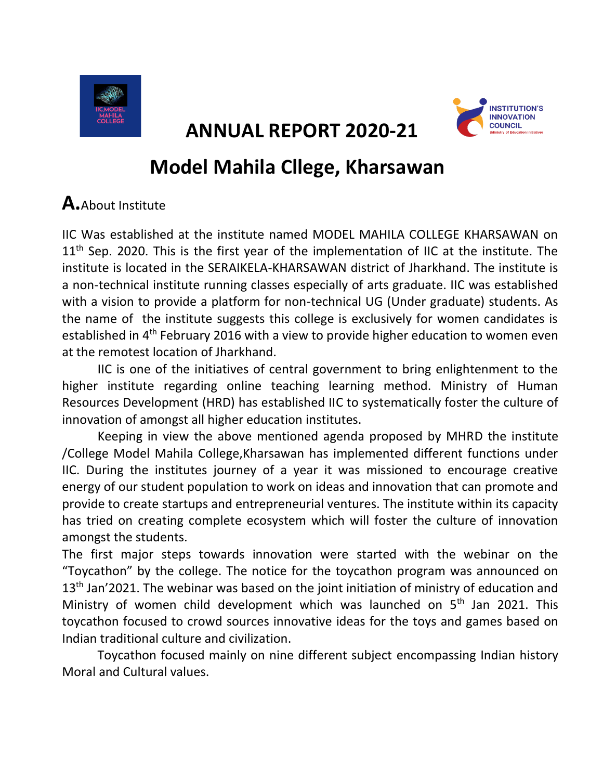

 **ANNUAL REPORT 2020-21** 



## **Model Mahila Cllege, Kharsawan**

## **A.**About Institute

IIC Was established at the institute named MODEL MAHILA COLLEGE KHARSAWAN on  $11<sup>th</sup>$  Sep. 2020. This is the first year of the implementation of IIC at the institute. The institute is located in the SERAIKELA-KHARSAWAN district of Jharkhand. The institute is a non-technical institute running classes especially of arts graduate. IIC was established with a vision to provide a platform for non-technical UG (Under graduate) students. As the name of the institute suggests this college is exclusively for women candidates is established in  $4<sup>th</sup>$  February 2016 with a view to provide higher education to women even at the remotest location of Jharkhand.

IIC is one of the initiatives of central government to bring enlightenment to the higher institute regarding online teaching learning method. Ministry of Human Resources Development (HRD) has established IIC to systematically foster the culture of innovation of amongst all higher education institutes.

Keeping in view the above mentioned agenda proposed by MHRD the institute /College Model Mahila College,Kharsawan has implemented different functions under IIC. During the institutes journey of a year it was missioned to encourage creative energy of our student population to work on ideas and innovation that can promote and provide to create startups and entrepreneurial ventures. The institute within its capacity has tried on creating complete ecosystem which will foster the culture of innovation amongst the students.

The first major steps towards innovation were started with the webinar on the "Toycathon" by the college. The notice for the toycathon program was announced on  $13<sup>th</sup>$  Jan'2021. The webinar was based on the joint initiation of ministry of education and Ministry of women child development which was launched on 5<sup>th</sup> Jan 2021. This toycathon focused to crowd sources innovative ideas for the toys and games based on Indian traditional culture and civilization.

Toycathon focused mainly on nine different subject encompassing Indian history Moral and Cultural values.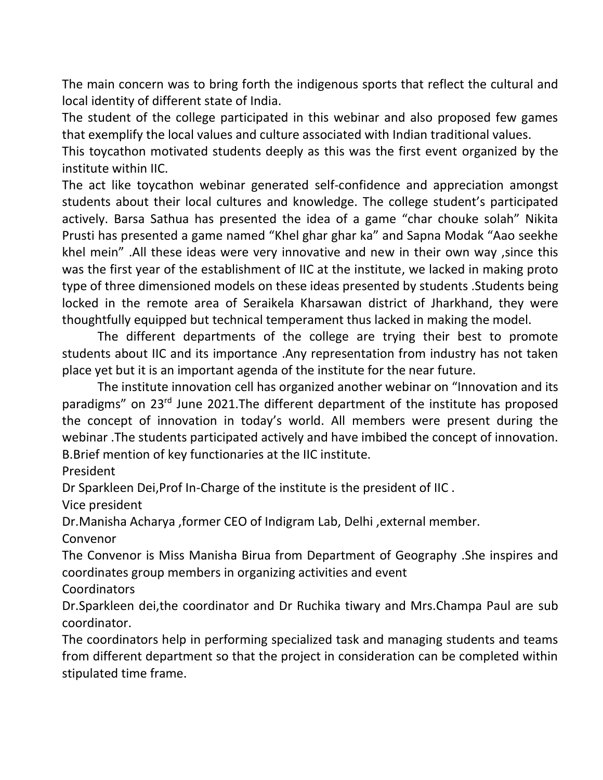The main concern was to bring forth the indigenous sports that reflect the cultural and local identity of different state of India.

The student of the college participated in this webinar and also proposed few games that exemplify the local values and culture associated with Indian traditional values.

This toycathon motivated students deeply as this was the first event organized by the institute within IIC.

The act like toycathon webinar generated self-confidence and appreciation amongst students about their local cultures and knowledge. The college student's participated actively. Barsa Sathua has presented the idea of a game "char chouke solah" Nikita Prusti has presented a game named "Khel ghar ghar ka" and Sapna Modak "Aao seekhe khel mein" .All these ideas were very innovative and new in their own way ,since this was the first year of the establishment of IIC at the institute, we lacked in making proto type of three dimensioned models on these ideas presented by students .Students being locked in the remote area of Seraikela Kharsawan district of Jharkhand, they were thoughtfully equipped but technical temperament thus lacked in making the model.

The different departments of the college are trying their best to promote students about IIC and its importance .Any representation from industry has not taken place yet but it is an important agenda of the institute for the near future.

The institute innovation cell has organized another webinar on "Innovation and its paradigms" on 23<sup>rd</sup> June 2021. The different department of the institute has proposed the concept of innovation in today's world. All members were present during the webinar .The students participated actively and have imbibed the concept of innovation. B.Brief mention of key functionaries at the IIC institute.

President

Dr Sparkleen Dei,Prof In-Charge of the institute is the president of IIC .

Vice president

Dr.Manisha Acharya ,former CEO of Indigram Lab, Delhi ,external member.

Convenor

The Convenor is Miss Manisha Birua from Department of Geography .She inspires and coordinates group members in organizing activities and event

**Coordinators** 

Dr.Sparkleen dei,the coordinator and Dr Ruchika tiwary and Mrs.Champa Paul are sub coordinator.

The coordinators help in performing specialized task and managing students and teams from different department so that the project in consideration can be completed within stipulated time frame.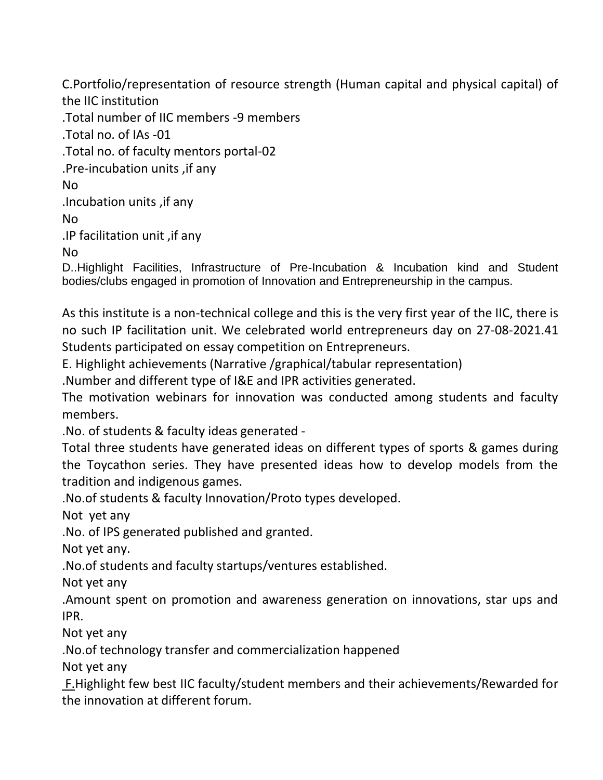C.Portfolio/representation of resource strength (Human capital and physical capital) of the IIC institution .Total number of IIC members -9 members .Total no. of IAs -01 .Total no. of faculty mentors portal-02 .Pre-incubation units ,if any No .Incubation units ,if any No .IP facilitation unit ,if any No D..Highlight Facilities, Infrastructure of Pre-Incubation & Incubation kind and Student bodies/clubs engaged in promotion of Innovation and Entrepreneurship in the campus.

As this institute is a non-technical college and this is the very first year of the IIC, there is no such IP facilitation unit. We celebrated world entrepreneurs day on 27-08-2021.41 Students participated on essay competition on Entrepreneurs.

E. Highlight achievements (Narrative /graphical/tabular representation)

.Number and different type of I&E and IPR activities generated.

The motivation webinars for innovation was conducted among students and faculty members.

.No. of students & faculty ideas generated -

Total three students have generated ideas on different types of sports & games during the Toycathon series. They have presented ideas how to develop models from the tradition and indigenous games.

.No.of students & faculty Innovation/Proto types developed.

Not yet any

.No. of IPS generated published and granted.

Not yet any.

.No.of students and faculty startups/ventures established.

Not yet any

.Amount spent on promotion and awareness generation on innovations, star ups and IPR.

Not yet any

.No.of technology transfer and commercialization happened

Not yet any

F.Highlight few best IIC faculty/student members and their achievements/Rewarded for the innovation at different forum.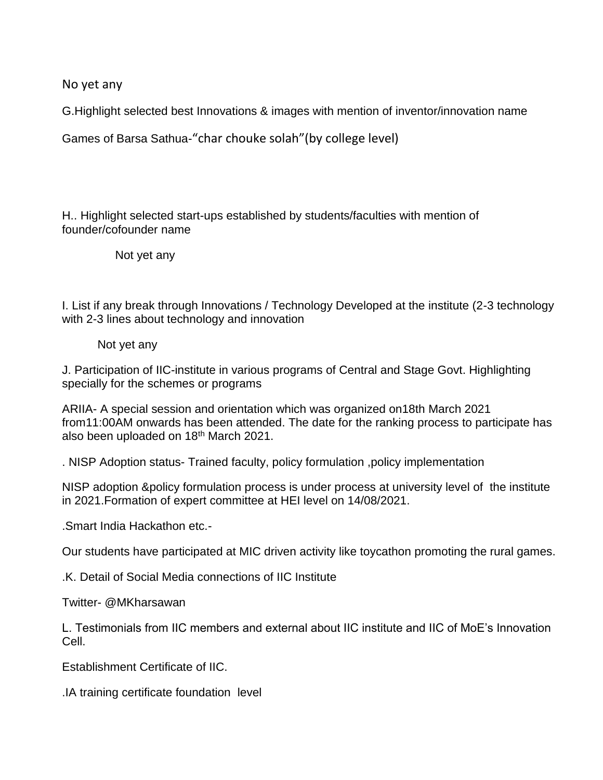No yet any

G.Highlight selected best Innovations & images with mention of inventor/innovation name

Games of Barsa Sathua-"char chouke solah"(by college level)

H.. Highlight selected start-ups established by students/faculties with mention of founder/cofounder name

Not yet any

I. List if any break through Innovations / Technology Developed at the institute (2-3 technology with 2-3 lines about technology and innovation

Not yet any

J. Participation of IIC-institute in various programs of Central and Stage Govt. Highlighting specially for the schemes or programs

ARIIA- A special session and orientation which was organized on18th March 2021 from11:00AM onwards has been attended. The date for the ranking process to participate has also been uploaded on 18<sup>th</sup> March 2021.

. NISP Adoption status- Trained faculty, policy formulation ,policy implementation

NISP adoption &policy formulation process is under process at university level of the institute in 2021.Formation of expert committee at HEI level on 14/08/2021.

.Smart India Hackathon etc.-

Our students have participated at MIC driven activity like toycathon promoting the rural games.

.K. Detail of Social Media connections of IIC Institute

Twitter- @MKharsawan

L. Testimonials from IIC members and external about IIC institute and IIC of MoE's Innovation Cell.

Establishment Certificate of IIC.

.IA training certificate foundation level